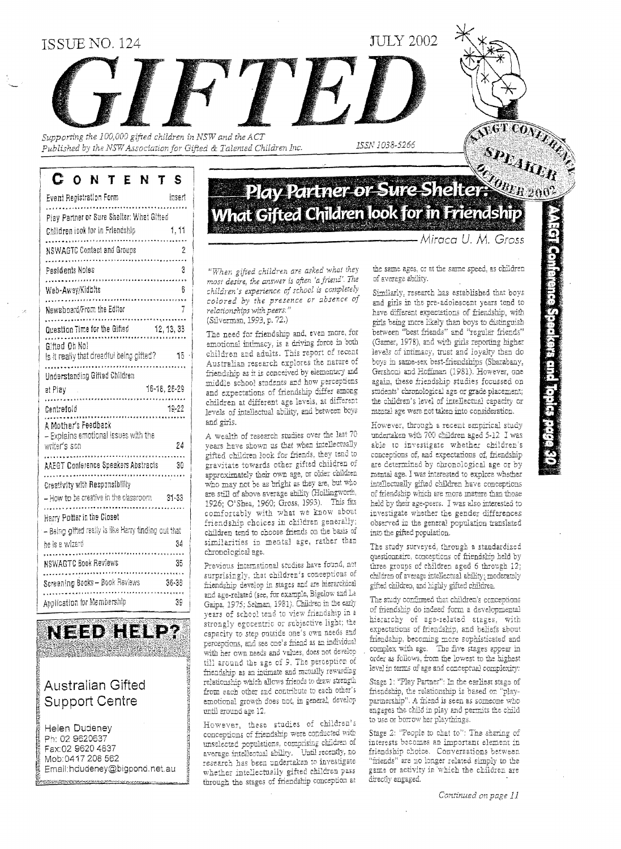## ISSUE NO. 124

**THEY 2002** 

ISSN 1038-5266

Published by the NSW Association for Gifted & Talented Children Inc.

Supporting the 100,000 gifted children in NSW and the ACT

CONTENTS

| Event Registration Form                                     | Inseri |
|-------------------------------------------------------------|--------|
| Play Partner or Sure Shelter: What Gifted                   |        |
| Children look for in Friendship                             | 1, 11  |
| <b>NSWAGTG Contact and Groups</b>                           | 2      |
| Pesidents Notes<br>                                         | 3      |
| Web-Away/Kidbits<br><br><b>************</b>                 | 6      |
| Newsboard/From the Editor                                   |        |
| Question Time for the Gifted $12, 13, 33$                   |        |
| Gifted Oh No!<br>is it really that dreadful being gifted?   | 15     |
| Understanding Gifted Children                               |        |
| 16-18, 26-29<br>at Play<br>.                                |        |
| Centrefold                                                  | -19-22 |
| A Mother's Feedback<br>- Explains emotional issues with the |        |
| writer's son                                                | 24     |
| AAEGT Conference Speakers Abstracts                         | 30     |
| Creativity with Responsibility                              |        |
| $-$ How to be creative in the classroom $31-33$             |        |
| Harry Potter in the Closet                                  |        |
| - Being gifted really is like Harry finding out that        |        |
| he is a wizard<br>,,,,,,,,,,,,,,,,,,                        | 34     |
| <b>NSWAGTC Book Reviews</b><br>.                            | 35     |
| Screening Books - Book Reviews<br>. 4                       | 36-38  |
| Application for Membership                                  | 39     |



### **Australian Gifted Support Centre**

**Helen Dudeney** Ph: 02 9620637 Fax:02 9620 4837 Mob: 0417 208 562 Email:hdudeney@bigpond.net.au

# SPLARDR Play Partner or Sure Shelter What Gifted Children look for in Friendship

Miraca U. M. Gross

TOT

"When gifted children are asked what they most desire, the answer is often 'a friend'. The children's experience of school is completely colored by the presence or absence of  $relations$   $hips$  with  $peers.$   $\lq$ (Silverman, 1993, p. 72.)

The need for friendship and, even more, for emotional intimacy, is a driving force in both children and adults. This report of recent Australian research explores the nature of friendship as it is conceived by elementary and middle school students and how perceptions and expectations of friendship differ among children at different age levels, at different levels of intellectual ability, and between boys and girls.

A wealth of research studies over the last 70 years have shown us that when intellectually gifted children look for friends, they tend to gravitate towards other gifted children of approximately their own age, or older children who may not be as bright as they are, but who are still of above average ability (Hollingworth, 1926; O'Shea, 1960; Gross, 1993). This fits comfortably with what we know about friendship choices in children generally; children tend to choose friends on the basis of similarities in mental age, rather than chronological age.

Previous international studies have found, not surprisingly, that children's conceptions of friendship develop in stages and are hierarchical and age-related (see, for example, Bigelow and La Gaipa, 1975; Selman, 1981). Children in the early years of school tend to view friendship in a strongly egocentric or subjective light; the capacity to step outside one's own needs and perceptions, and see one's friend as an individual with her own needs and values, does not develop till around the age of 9. The perception of friendship as an intimate and mutually rewarding relationship which allows friends to draw strength from each other and contribute to each other's emotional growth does not, in general, develop until around age 12.

However, these studies of children's conceptions of friendship were conducted with unselected populations, comprising children of average intellectual ability. Until recently, no research has been undertaken to investigate whether intellectually gifted children pass through the stages of friendship conception at

the same ages, or at the same speed, as children of average ability.

Similarly, research has established that boys and girls in the pre-adolescent years tend to have different expectations of friendship, with girls being more likely than boys to distinguishbetween "best friends" and "regular friends" (Gamer, 1978), and with girls reporting higher levels of intimacy, trust and loyalty than do boys in same-sex best-friendships (Sharabany, Gershoni and Hoffman (1981). However, one again, these friendship studies focussed on students' chronological age or grade placement; the children's level of intellectual capacity or mental age were not taken into consideration.

es Specikeits end Topic

However, through a recent empirical study undertaken with 700 children aged 5-12 I was able to investigate whether children's conceptions of, and expectations of, friendship are determined by chronological age or by mental age. I was interested to explore whether intellectually gifted children have conceptions of friendship which are more mature than those held by their age-peers. I was also interested to investigate whether the gender differences observed in the general population translated into the gifted population.

The study surveyed, through a standardized questionnaire, conceptions of friendship held by three groups of children aged 6 through 12: children of average intellectual ability; moderately gifted children, and highly gifted children.

The study confirmed that children's conceptions of friendship do indeed form a developmental hierarchy of age-related stages, with expectations of friendship, and beliefs about friendship, becoming more sophisticated and complex with age. The five stages appear in order as follows, from the lowest to the highest level in terms of age and conceptual complexity:

Stage 1: "Play Partner": In the earliest stage of friendship, the relationship is based on "playpartnership". A friend is seen as someone who engages the child in play and permits the child to use or borrow her playthings.

Stage 2: "People to chat to": The sharing of interests becomes an important element in friendship choice. Conversations between "friends" are no longer related simply to the game or activity in which the children are directly engaged.